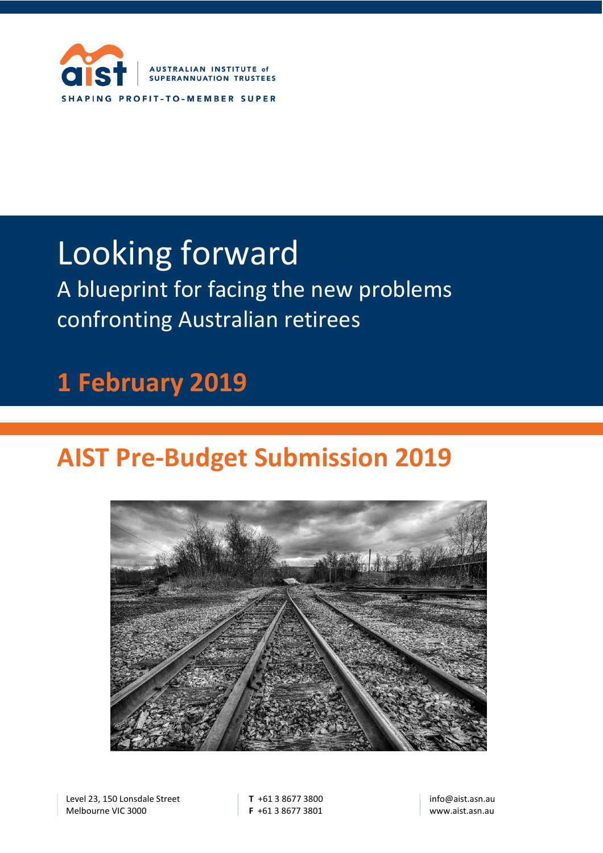

# Looking forward

A blueprint for facing the new problems confronting Australian retirees

## **1 February 2019**

## **AIST Pre-Budget Submission 2019**



Level 23, 150 Lonsdale Street Melbourne VIC 3000

**T** +61 3 8677 3800 **F** +61 3 8677 3801 info@aist.asn.au www.aist.asn.au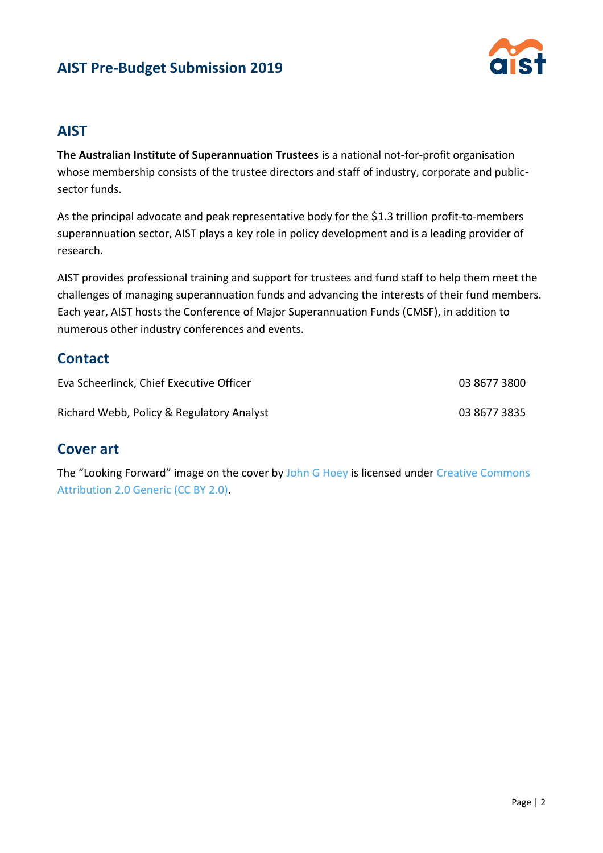

#### **AIST**

**The Australian Institute of Superannuation Trustees** is a national not-for-profit organisation whose membership consists of the trustee directors and staff of industry, corporate and publicsector funds.

As the principal advocate and peak representative body for the \$1.3 trillion profit-to-members superannuation sector, AIST plays a key role in policy development and is a leading provider of research.

AIST provides professional training and support for trustees and fund staff to help them meet the challenges of managing superannuation funds and advancing the interests of their fund members. Each year, AIST hosts the Conference of Major Superannuation Funds (CMSF), in addition to numerous other industry conferences and events.

#### **Contact**

| Eva Scheerlinck, Chief Executive Officer  | 03 8677 3800 |
|-------------------------------------------|--------------|
| Richard Webb, Policy & Regulatory Analyst | 03 8677 3835 |

#### **Cover art**

The "Looking Forward" image on the cover by [John G Hoey](https://www.flickr.com/photos/drjohn01702/) is licensed under Creative Commons [Attribution 2.0 Generic \(CC BY 2.0\).](https://creativecommons.org/licenses/by/2.0/deed.en)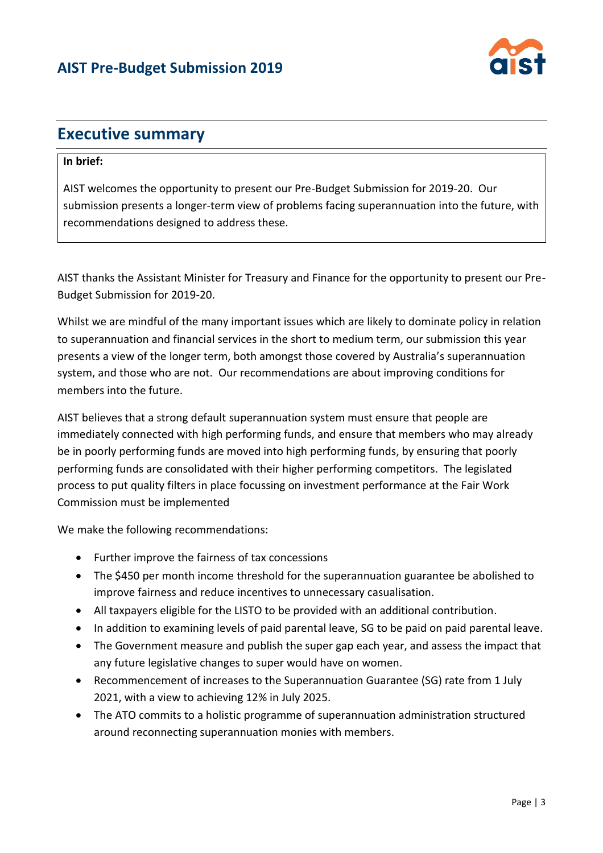

## **Executive summary**

#### **In brief:**

AIST welcomes the opportunity to present our Pre-Budget Submission for 2019-20. Our submission presents a longer-term view of problems facing superannuation into the future, with recommendations designed to address these.

AIST thanks the Assistant Minister for Treasury and Finance for the opportunity to present our Pre-Budget Submission for 2019-20.

Whilst we are mindful of the many important issues which are likely to dominate policy in relation to superannuation and financial services in the short to medium term, our submission this year presents a view of the longer term, both amongst those covered by Australia's superannuation system, and those who are not. Our recommendations are about improving conditions for members into the future.

AIST believes that a strong default superannuation system must ensure that people are immediately connected with high performing funds, and ensure that members who may already be in poorly performing funds are moved into high performing funds, by ensuring that poorly performing funds are consolidated with their higher performing competitors. The legislated process to put quality filters in place focussing on investment performance at the Fair Work Commission must be implemented

We make the following recommendations:

- Further improve the fairness of tax concessions
- The \$450 per month income threshold for the superannuation guarantee be abolished to improve fairness and reduce incentives to unnecessary casualisation.
- All taxpayers eligible for the LISTO to be provided with an additional contribution.
- In addition to examining levels of paid parental leave, SG to be paid on paid parental leave.
- The Government measure and publish the super gap each year, and assess the impact that any future legislative changes to super would have on women.
- Recommencement of increases to the Superannuation Guarantee (SG) rate from 1 July 2021, with a view to achieving 12% in July 2025.
- The ATO commits to a holistic programme of superannuation administration structured around reconnecting superannuation monies with members.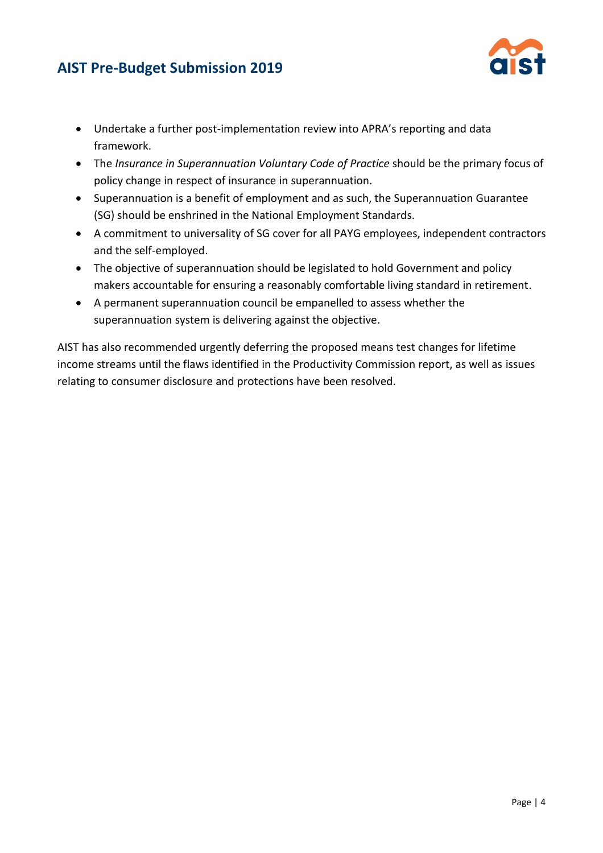

- Undertake a further post-implementation review into APRA's reporting and data framework.
- The *Insurance in Superannuation Voluntary Code of Practice* should be the primary focus of policy change in respect of insurance in superannuation.
- Superannuation is a benefit of employment and as such, the Superannuation Guarantee (SG) should be enshrined in the National Employment Standards.
- A commitment to universality of SG cover for all PAYG employees, independent contractors and the self-employed.
- The objective of superannuation should be legislated to hold Government and policy makers accountable for ensuring a reasonably comfortable living standard in retirement.
- A permanent superannuation council be empanelled to assess whether the superannuation system is delivering against the objective.

AIST has also recommended urgently deferring the proposed means test changes for lifetime income streams until the flaws identified in the Productivity Commission report, as well as issues relating to consumer disclosure and protections have been resolved.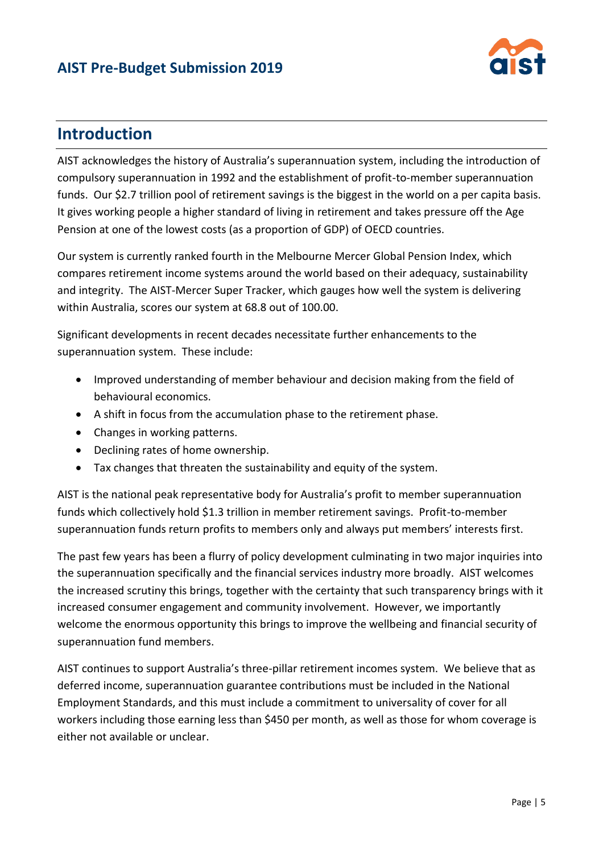

## **Introduction**

AIST acknowledges the history of Australia's superannuation system, including the introduction of compulsory superannuation in 1992 and the establishment of profit-to-member superannuation funds. Our \$2.7 trillion pool of retirement savings is the biggest in the world on a per capita basis. It gives working people a higher standard of living in retirement and takes pressure off the Age Pension at one of the lowest costs (as a proportion of GDP) of OECD countries.

Our system is currently ranked fourth in the Melbourne Mercer Global Pension Index, which compares retirement income systems around the world based on their adequacy, sustainability and integrity. The AIST-Mercer Super Tracker, which gauges how well the system is delivering within Australia, scores our system at 68.8 out of 100.00.

Significant developments in recent decades necessitate further enhancements to the superannuation system. These include:

- Improved understanding of member behaviour and decision making from the field of behavioural economics.
- A shift in focus from the accumulation phase to the retirement phase.
- Changes in working patterns.
- Declining rates of home ownership.
- Tax changes that threaten the sustainability and equity of the system.

AIST is the national peak representative body for Australia's profit to member superannuation funds which collectively hold \$1.3 trillion in member retirement savings. Profit-to-member superannuation funds return profits to members only and always put members' interests first.

The past few years has been a flurry of policy development culminating in two major inquiries into the superannuation specifically and the financial services industry more broadly. AIST welcomes the increased scrutiny this brings, together with the certainty that such transparency brings with it increased consumer engagement and community involvement. However, we importantly welcome the enormous opportunity this brings to improve the wellbeing and financial security of superannuation fund members.

AIST continues to support Australia's three-pillar retirement incomes system. We believe that as deferred income, superannuation guarantee contributions must be included in the National Employment Standards, and this must include a commitment to universality of cover for all workers including those earning less than \$450 per month, as well as those for whom coverage is either not available or unclear.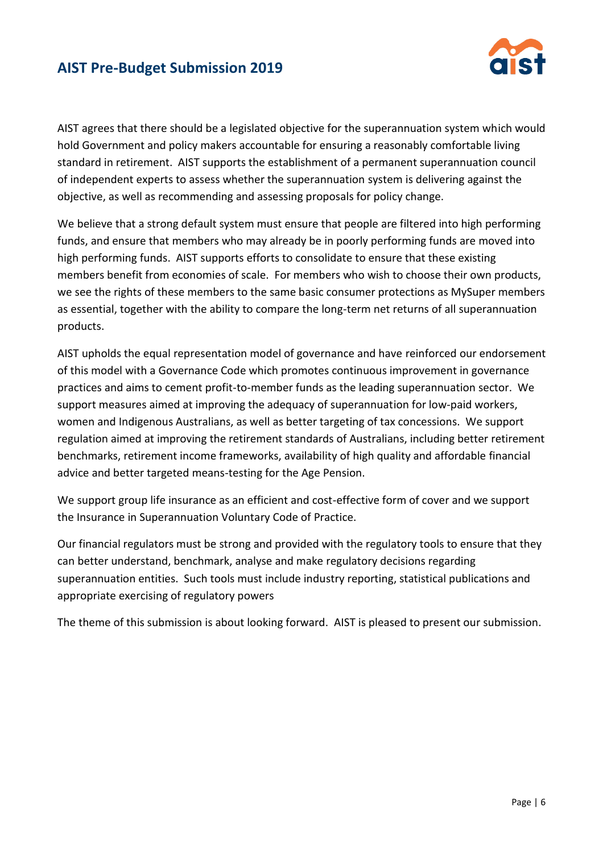

AIST agrees that there should be a legislated objective for the superannuation system which would hold Government and policy makers accountable for ensuring a reasonably comfortable living standard in retirement. AIST supports the establishment of a permanent superannuation council of independent experts to assess whether the superannuation system is delivering against the objective, as well as recommending and assessing proposals for policy change.

We believe that a strong default system must ensure that people are filtered into high performing funds, and ensure that members who may already be in poorly performing funds are moved into high performing funds. AIST supports efforts to consolidate to ensure that these existing members benefit from economies of scale. For members who wish to choose their own products, we see the rights of these members to the same basic consumer protections as MySuper members as essential, together with the ability to compare the long-term net returns of all superannuation products.

AIST upholds the equal representation model of governance and have reinforced our endorsement of this model with a Governance Code which promotes continuous improvement in governance practices and aims to cement profit-to-member funds as the leading superannuation sector. We support measures aimed at improving the adequacy of superannuation for low-paid workers, women and Indigenous Australians, as well as better targeting of tax concessions. We support regulation aimed at improving the retirement standards of Australians, including better retirement benchmarks, retirement income frameworks, availability of high quality and affordable financial advice and better targeted means-testing for the Age Pension.

We support group life insurance as an efficient and cost-effective form of cover and we support the Insurance in Superannuation Voluntary Code of Practice.

Our financial regulators must be strong and provided with the regulatory tools to ensure that they can better understand, benchmark, analyse and make regulatory decisions regarding superannuation entities. Such tools must include industry reporting, statistical publications and appropriate exercising of regulatory powers

The theme of this submission is about looking forward. AIST is pleased to present our submission.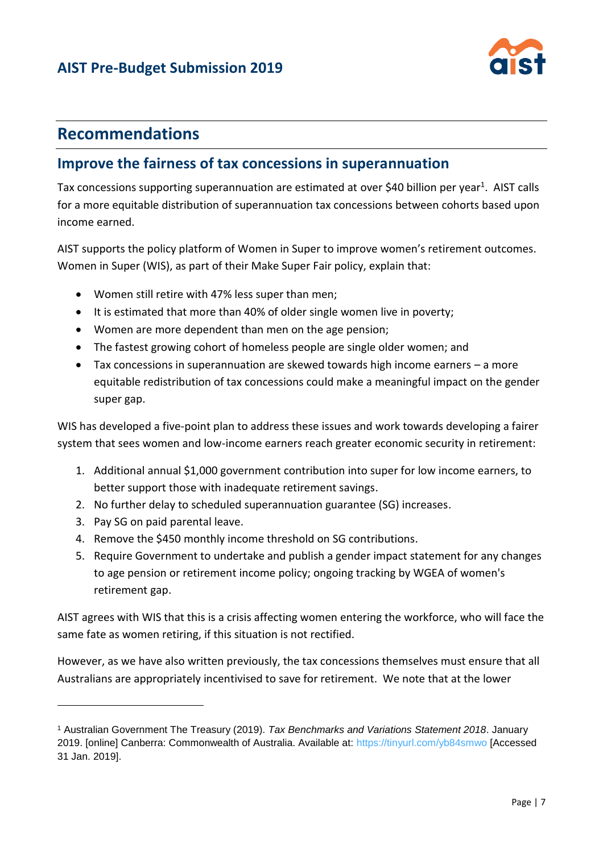

## **Recommendations**

#### **Improve the fairness of tax concessions in superannuation**

Tax concessions supporting superannuation are estimated at over \$40 billion per year<sup>1</sup>. AIST calls for a more equitable distribution of superannuation tax concessions between cohorts based upon income earned.

AIST supports the policy platform of Women in Super to improve women's retirement outcomes. Women in Super (WIS), as part of their Make Super Fair policy, explain that:

- Women still retire with 47% less super than men;
- It is estimated that more than 40% of older single women live in poverty;
- Women are more dependent than men on the age pension;
- The fastest growing cohort of homeless people are single older women; and
- Tax concessions in superannuation are skewed towards high income earners a more equitable redistribution of tax concessions could make a meaningful impact on the gender super gap.

WIS has developed a five-point plan to address these issues and work towards developing a fairer system that sees women and low-income earners reach greater economic security in retirement:

- 1. Additional annual \$1,000 government contribution into super for low income earners, to better support those with inadequate retirement savings.
- 2. No further delay to scheduled superannuation guarantee (SG) increases.
- 3. Pay SG on paid parental leave.

 $\overline{a}$ 

- 4. Remove the \$450 monthly income threshold on SG contributions.
- 5. Require Government to undertake and publish a gender impact statement for any changes to age pension or retirement income policy; ongoing tracking by WGEA of women's retirement gap.

AIST agrees with WIS that this is a crisis affecting women entering the workforce, who will face the same fate as women retiring, if this situation is not rectified.

However, as we have also written previously, the tax concessions themselves must ensure that all Australians are appropriately incentivised to save for retirement. We note that at the lower

<sup>1</sup> Australian Government The Treasury (2019). *Tax Benchmarks and Variations Statement 2018*. January 2019. [online] Canberra: Commonwealth of Australia. Available at:<https://tinyurl.com/yb84smwo> [Accessed 31 Jan. 2019].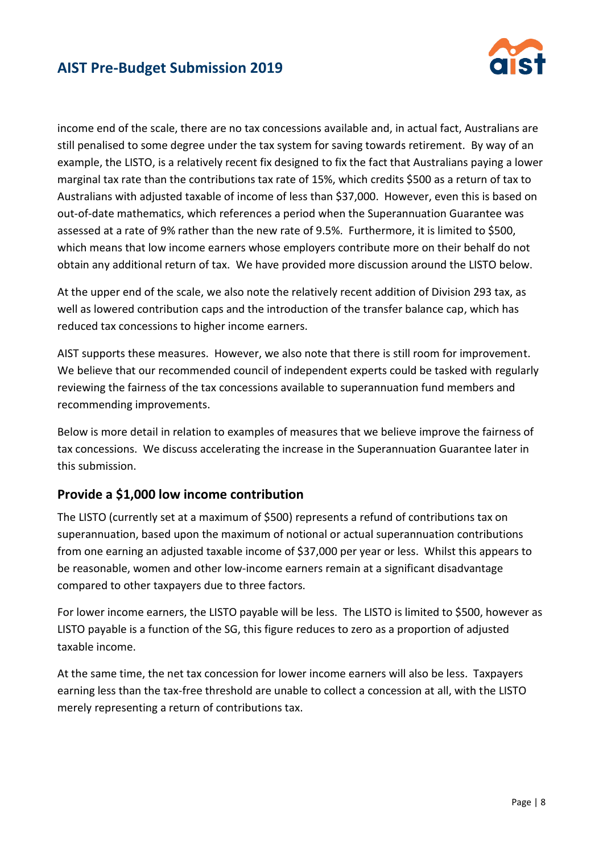

income end of the scale, there are no tax concessions available and, in actual fact, Australians are still penalised to some degree under the tax system for saving towards retirement. By way of an example, the LISTO, is a relatively recent fix designed to fix the fact that Australians paying a lower marginal tax rate than the contributions tax rate of 15%, which credits \$500 as a return of tax to Australians with adjusted taxable of income of less than \$37,000. However, even this is based on out-of-date mathematics, which references a period when the Superannuation Guarantee was assessed at a rate of 9% rather than the new rate of 9.5%. Furthermore, it is limited to \$500, which means that low income earners whose employers contribute more on their behalf do not obtain any additional return of tax. We have provided more discussion around the LISTO below.

At the upper end of the scale, we also note the relatively recent addition of Division 293 tax, as well as lowered contribution caps and the introduction of the transfer balance cap, which has reduced tax concessions to higher income earners.

AIST supports these measures. However, we also note that there is still room for improvement. We believe that our recommended council of independent experts could be tasked with regularly reviewing the fairness of the tax concessions available to superannuation fund members and recommending improvements.

Below is more detail in relation to examples of measures that we believe improve the fairness of tax concessions. We discuss accelerating the increase in the Superannuation Guarantee later in this submission.

#### **Provide a \$1,000 low income contribution**

The LISTO (currently set at a maximum of \$500) represents a refund of contributions tax on superannuation, based upon the maximum of notional or actual superannuation contributions from one earning an adjusted taxable income of \$37,000 per year or less. Whilst this appears to be reasonable, women and other low-income earners remain at a significant disadvantage compared to other taxpayers due to three factors.

For lower income earners, the LISTO payable will be less. The LISTO is limited to \$500, however as LISTO payable is a function of the SG, this figure reduces to zero as a proportion of adjusted taxable income.

At the same time, the net tax concession for lower income earners will also be less. Taxpayers earning less than the tax-free threshold are unable to collect a concession at all, with the LISTO merely representing a return of contributions tax.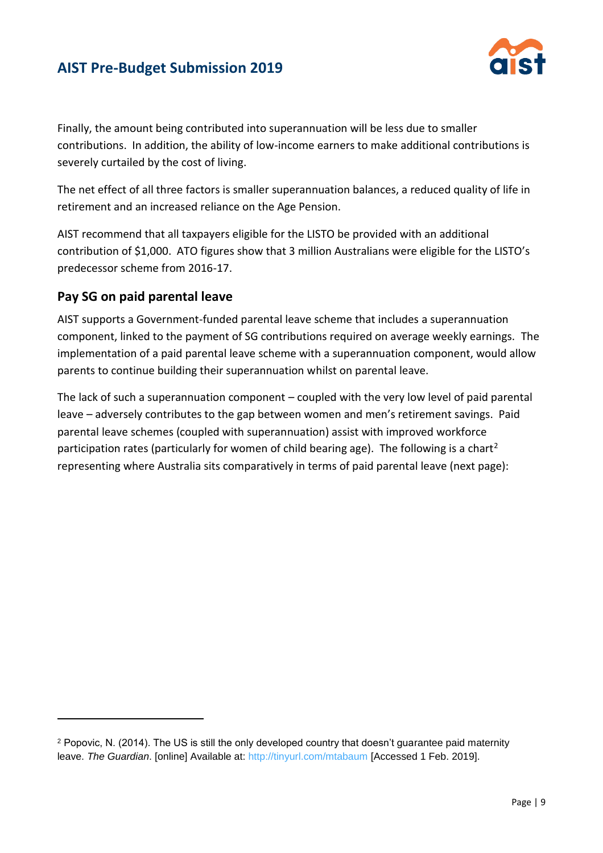

Finally, the amount being contributed into superannuation will be less due to smaller contributions. In addition, the ability of low-income earners to make additional contributions is severely curtailed by the cost of living.

The net effect of all three factors is smaller superannuation balances, a reduced quality of life in retirement and an increased reliance on the Age Pension.

AIST recommend that all taxpayers eligible for the LISTO be provided with an additional contribution of \$1,000. ATO figures show that 3 million Australians were eligible for the LISTO's predecessor scheme from 2016-17.

#### **Pay SG on paid parental leave**

l

AIST supports a Government-funded parental leave scheme that includes a superannuation component, linked to the payment of SG contributions required on average weekly earnings. The implementation of a paid parental leave scheme with a superannuation component, would allow parents to continue building their superannuation whilst on parental leave.

The lack of such a superannuation component – coupled with the very low level of paid parental leave – adversely contributes to the gap between women and men's retirement savings. Paid parental leave schemes (coupled with superannuation) assist with improved workforce participation rates (particularly for women of child bearing age). The following is a chart<sup>2</sup> representing where Australia sits comparatively in terms of paid parental leave (next page):

<sup>2</sup> Popovic, N. (2014). The US is still the only developed country that doesn't guarantee paid maternity leave. *The Guardian*. [online] Available at:<http://tinyurl.com/mtabaum> [Accessed 1 Feb. 2019].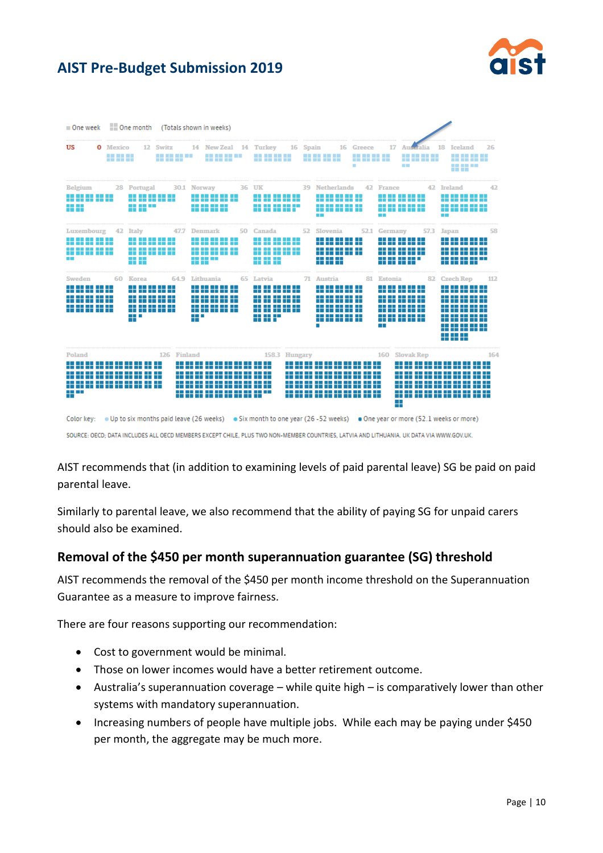

| $\blacksquare$ One week                                         |                                      | <b>Cone</b> month                                       |                                                          | (Totals shown in weeks)                                                                    |    |                                                                                    |                           |                                                                                                     |                                       |                                                                                                   |                                  |                                                                                                                                                                                                   |     |
|-----------------------------------------------------------------|--------------------------------------|---------------------------------------------------------|----------------------------------------------------------|--------------------------------------------------------------------------------------------|----|------------------------------------------------------------------------------------|---------------------------|-----------------------------------------------------------------------------------------------------|---------------------------------------|---------------------------------------------------------------------------------------------------|----------------------------------|---------------------------------------------------------------------------------------------------------------------------------------------------------------------------------------------------|-----|
| US                                                              | <b>O</b> Mexico<br><b>THE REPORT</b> |                                                         | 12 Switz                                                 | 14 New Zeal 14 Turkey<br><b>.</b>                                                          |    | -------<br>-------                                                                 | 16 Spain                  | -------<br>-------                                                                                  | 16 Greece<br><b>.</b><br>-------<br>٠ | 17<br>m m                                                                                         | Australia<br><u>.</u><br>n n n n | 18 Iceland<br><b>.</b><br>.<br><b></b>                                                                                                                                                            | 26  |
| <b>Belgium</b><br>---------<br>---------<br>H H                 |                                      | 28 Portugal<br>---------<br>.<br>- 11 T                 | -------                                                  | 30.1 Norway<br>-- -- -- -- -- <b>-</b><br>----------<br>65 65 66 66                        |    | 36 UK<br>---------<br>---------<br>---------<br>--------                           |                           | 39 Netherlands<br>---------<br>---------<br>---------<br>---------<br><b>The Co</b>                 |                                       | 42 France<br>---------<br>-------<br>---------<br>---------<br><b>START</b>                       |                                  | 42 Ireland<br><br>----------<br>---------<br>.<br>a ka                                                                                                                                            | 42  |
| Luxembourg<br>55 55 55 55 55<br>65 66 66 66 66<br>n in          |                                      | 42 Italy<br>---------<br>--<br>m n<br><b>The Common</b> | 47.7<br>--------<br>--------<br>--------                 | Denmark<br><br>----------<br>----------<br>---------<br>.<br>.                             | 50 | Canada<br>---------<br>----------<br>---------<br><u>na na na sé ili</u><br>.<br>. | 52                        | Slovenia<br>---------<br>---------<br>----------<br>.<br>------<br>.                                | 52.1                                  | Germany<br>---------<br>---------<br>---------<br>.<br>---------<br>-------                       | 57.3                             | Japan<br>.<br>--------<br>.<br>.                                                                                                                                                                  | 58  |
| Sweden<br>.<br>------<br>.<br>-----<br>--------<br>-------<br>. |                                      | 60 Korea<br>n Bill<br>n s<br><b>The Company</b><br>- 1  | 64.9<br>.<br>n a m<br>-----<br>T T T T T<br>.<br>------- | Lithuania<br>.<br>-----<br>---------<br>- - - -<br>.<br>---------<br>.<br>.<br>a ma<br>. . |    | 65 Latvia<br>--------<br>.<br>--------<br>--------<br>-------<br>-----<br>.        |                           | 71 Austria<br>.<br>.<br>.<br>------<br>---------<br>------<br>.<br>---------<br>n B<br>-------<br>٠ | 81<br>m m<br>m in                     | <b>Estonia</b><br>-------<br>---------<br>---------<br>---------<br>---------<br>---------<br>- 1 | 82<br>-----                      | <b>Czech Rep</b><br>n m<br>-------<br>. .<br>-------<br>.<br>== == == == ==<br>n 11 Mei 11 Mei 12 Mei 12 Mei 12 Mei 12 Mei 12 Mei 12 Mei 12 Mei 12 Mei 12 Mei 12 Mei 12 Mei 12 Mei 12 Mei 12<br>. | 112 |
| Poland<br>.<br>.<br>m en                                        | ---------                            | .                                                       | 126 Finland<br>ш<br>a pr                                 | --------------                                                                             |    |                                                                                    | 158.3 Hungary<br>. .<br>. | -------<br>----<br>--------------                                                                   | --<br>- - -                           | 160<br>a sa sa<br>n T<br>a ka<br>−                                                                | <b>Slovak Rep</b><br>---------   | ----------                                                                                                                                                                                        | 164 |

SOURCE: OECD; DATA INCLUDES ALL OECD MEMBERS EXCEPT CHILE, PLUS TWO NON-MEMBER COUNTRIES, LATVIA AND LITHUANIA. UK DATA VIA WWW.GOV.UK.

AIST recommends that (in addition to examining levels of paid parental leave) SG be paid on paid parental leave.

Similarly to parental leave, we also recommend that the ability of paying SG for unpaid carers should also be examined.

#### **Removal of the \$450 per month superannuation guarantee (SG) threshold**

AIST recommends the removal of the \$450 per month income threshold on the Superannuation Guarantee as a measure to improve fairness.

There are four reasons supporting our recommendation:

- Cost to government would be minimal.
- Those on lower incomes would have a better retirement outcome.
- Australia's superannuation coverage while quite high is comparatively lower than other systems with mandatory superannuation.
- Increasing numbers of people have multiple jobs. While each may be paying under \$450 per month, the aggregate may be much more.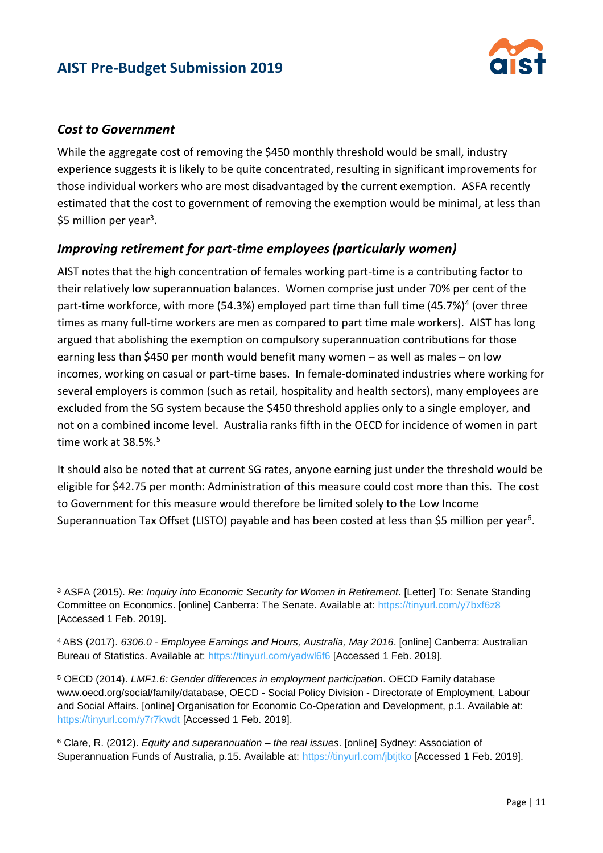

#### *Cost to Government*

 $\overline{a}$ 

While the aggregate cost of removing the \$450 monthly threshold would be small, industry experience suggests it is likely to be quite concentrated, resulting in significant improvements for those individual workers who are most disadvantaged by the current exemption. ASFA recently estimated that the cost to government of removing the exemption would be minimal, at less than \$5 million per year<sup>3</sup>.

#### *Improving retirement for part-time employees (particularly women)*

AIST notes that the high concentration of females working part-time is a contributing factor to their relatively low superannuation balances. Women comprise just under 70% per cent of the part-time workforce, with more (54.3%) employed part time than full time (45.7%)<sup>4</sup> (over three times as many full-time workers are men as compared to part time male workers). AIST has long argued that abolishing the exemption on compulsory superannuation contributions for those earning less than \$450 per month would benefit many women – as well as males – on low incomes, working on casual or part-time bases. In female-dominated industries where working for several employers is common (such as retail, hospitality and health sectors), many employees are excluded from the SG system because the \$450 threshold applies only to a single employer, and not on a combined income level. Australia ranks fifth in the OECD for incidence of women in part time work at 38.5%.<sup>5</sup>

It should also be noted that at current SG rates, anyone earning just under the threshold would be eligible for \$42.75 per month: Administration of this measure could cost more than this. The cost to Government for this measure would therefore be limited solely to the Low Income Superannuation Tax Offset (LISTO) payable and has been costed at less than \$5 million per year<sup>6</sup>.

<sup>3</sup> ASFA (2015). *Re: Inquiry into Economic Security for Women in Retirement*. [Letter] To: Senate Standing Committee on Economics. [online] Canberra: The Senate. Available at: <https://tinyurl.com/y7bxf6z8> [Accessed 1 Feb. 2019].

<sup>4</sup> ABS (2017). *6306.0 - Employee Earnings and Hours, Australia, May 2016*. [online] Canberra: Australian Bureau of Statistics. Available at:<https://tinyurl.com/yadwl6f6> [Accessed 1 Feb. 2019].

<sup>5</sup> OECD (2014). *LMF1.6: Gender differences in employment participation*. OECD Family database www.oecd.org/social/family/database, OECD - Social Policy Division - Directorate of Employment, Labour and Social Affairs. [online] Organisation for Economic Co-Operation and Development, p.1. Available at: <https://tinyurl.com/y7r7kwdt> [Accessed 1 Feb. 2019].

<sup>6</sup> Clare, R. (2012). *Equity and superannuation – the real issues*. [online] Sydney: Association of Superannuation Funds of Australia, p.15. Available at:<https://tinyurl.com/jbtjtko> [Accessed 1 Feb. 2019].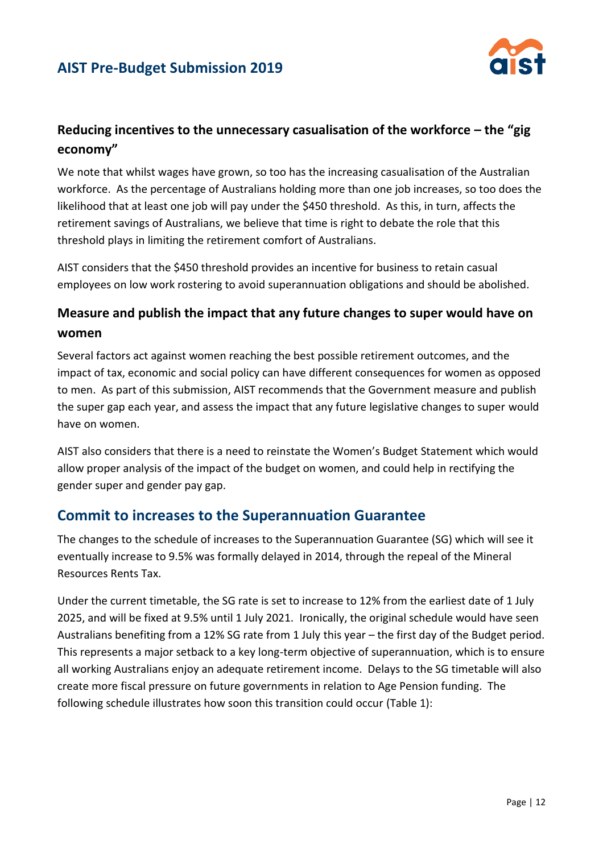

#### **Reducing incentives to the unnecessary casualisation of the workforce – the "gig economy"**

We note that whilst wages have grown, so too has the increasing casualisation of the Australian workforce. As the percentage of Australians holding more than one job increases, so too does the likelihood that at least one job will pay under the \$450 threshold. As this, in turn, affects the retirement savings of Australians, we believe that time is right to debate the role that this threshold plays in limiting the retirement comfort of Australians.

AIST considers that the \$450 threshold provides an incentive for business to retain casual employees on low work rostering to avoid superannuation obligations and should be abolished.

#### **Measure and publish the impact that any future changes to super would have on women**

Several factors act against women reaching the best possible retirement outcomes, and the impact of tax, economic and social policy can have different consequences for women as opposed to men. As part of this submission, AIST recommends that the Government measure and publish the super gap each year, and assess the impact that any future legislative changes to super would have on women.

AIST also considers that there is a need to reinstate the Women's Budget Statement which would allow proper analysis of the impact of the budget on women, and could help in rectifying the gender super and gender pay gap.

#### **Commit to increases to the Superannuation Guarantee**

The changes to the schedule of increases to the Superannuation Guarantee (SG) which will see it eventually increase to 9.5% was formally delayed in 2014, through the repeal of the Mineral Resources Rents Tax.

Under the current timetable, the SG rate is set to increase to 12% from the earliest date of 1 July 2025, and will be fixed at 9.5% until 1 July 2021. Ironically, the original schedule would have seen Australians benefiting from a 12% SG rate from 1 July this year – the first day of the Budget period. This represents a major setback to a key long-term objective of superannuation, which is to ensure all working Australians enjoy an adequate retirement income. Delays to the SG timetable will also create more fiscal pressure on future governments in relation to Age Pension funding. The following schedule illustrates how soon this transition could occur (Table 1):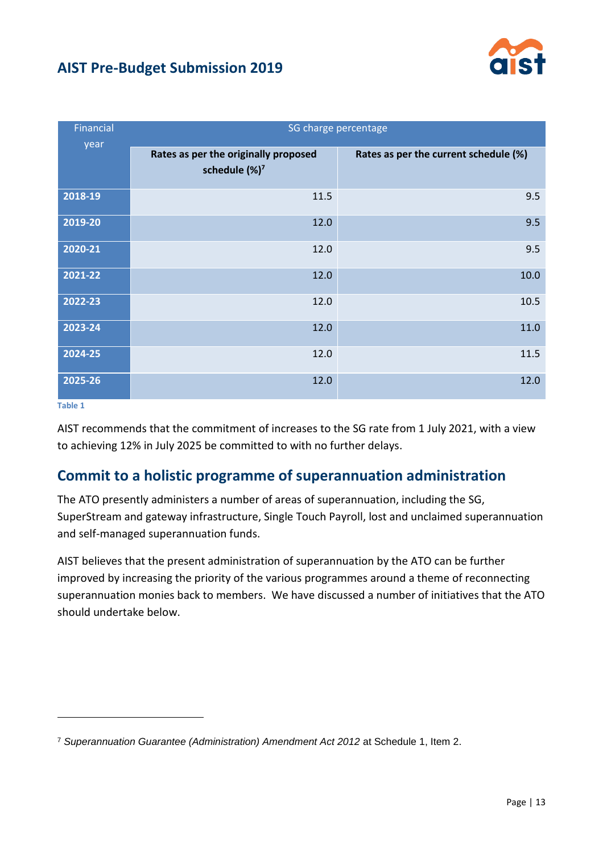

| <b>Financial</b> | SG charge percentage                                              |                                       |  |  |  |
|------------------|-------------------------------------------------------------------|---------------------------------------|--|--|--|
| year             | Rates as per the originally proposed<br>schedule (%) <sup>7</sup> | Rates as per the current schedule (%) |  |  |  |
| 2018-19          | 11.5                                                              | 9.5                                   |  |  |  |
| 2019-20          | 12.0                                                              | 9.5                                   |  |  |  |
| 2020-21          | 12.0                                                              | 9.5                                   |  |  |  |
| $2021 - 22$      | 12.0                                                              | 10.0                                  |  |  |  |
| 2022-23          | 12.0                                                              | 10.5                                  |  |  |  |
| 2023-24          | 12.0                                                              | 11.0                                  |  |  |  |
| 2024-25          | 12.0                                                              | 11.5                                  |  |  |  |
| 2025-26          | 12.0                                                              | 12.0                                  |  |  |  |

#### **Table 1**

l

AIST recommends that the commitment of increases to the SG rate from 1 July 2021, with a view to achieving 12% in July 2025 be committed to with no further delays.

#### **Commit to a holistic programme of superannuation administration**

The ATO presently administers a number of areas of superannuation, including the SG, SuperStream and gateway infrastructure, Single Touch Payroll, lost and unclaimed superannuation and self-managed superannuation funds.

AIST believes that the present administration of superannuation by the ATO can be further improved by increasing the priority of the various programmes around a theme of reconnecting superannuation monies back to members. We have discussed a number of initiatives that the ATO should undertake below.

<sup>7</sup> *Superannuation Guarantee (Administration) Amendment Act 2012* at Schedule 1, Item 2.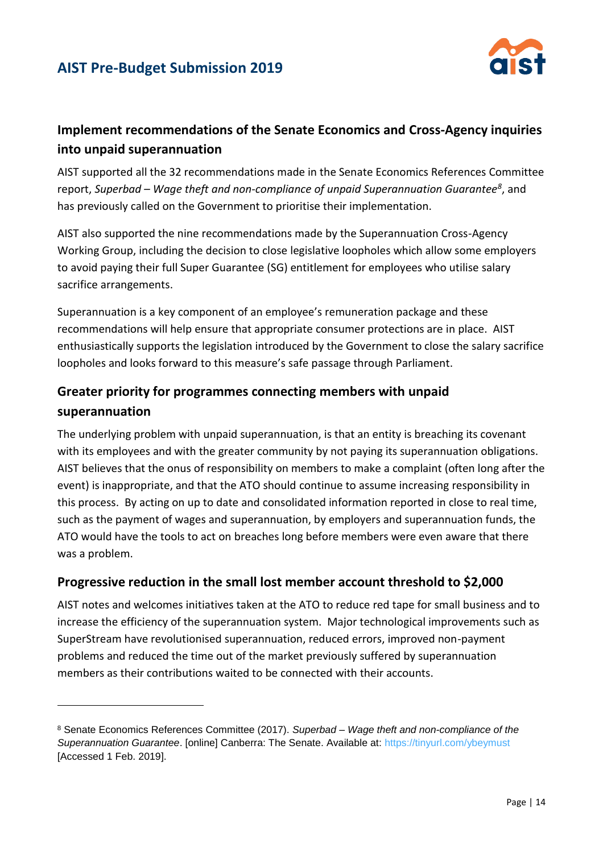

#### **Implement recommendations of the Senate Economics and Cross-Agency inquiries into unpaid superannuation**

AIST supported all the 32 recommendations made in the Senate Economics References Committee report, *Superbad – Wage theft and non-compliance of unpaid Superannuation Guarantee<sup>8</sup>* , and has previously called on the Government to prioritise their implementation.

AIST also supported the nine recommendations made by the Superannuation Cross-Agency Working Group, including the decision to close legislative loopholes which allow some employers to avoid paying their full Super Guarantee (SG) entitlement for employees who utilise salary sacrifice arrangements.

Superannuation is a key component of an employee's remuneration package and these recommendations will help ensure that appropriate consumer protections are in place. AIST enthusiastically supports the legislation introduced by the Government to close the salary sacrifice loopholes and looks forward to this measure's safe passage through Parliament.

## **Greater priority for programmes connecting members with unpaid superannuation**

The underlying problem with unpaid superannuation, is that an entity is breaching its covenant with its employees and with the greater community by not paying its superannuation obligations. AIST believes that the onus of responsibility on members to make a complaint (often long after the event) is inappropriate, and that the ATO should continue to assume increasing responsibility in this process. By acting on up to date and consolidated information reported in close to real time, such as the payment of wages and superannuation, by employers and superannuation funds, the ATO would have the tools to act on breaches long before members were even aware that there was a problem.

#### **Progressive reduction in the small lost member account threshold to \$2,000**

AIST notes and welcomes initiatives taken at the ATO to reduce red tape for small business and to increase the efficiency of the superannuation system. Major technological improvements such as SuperStream have revolutionised superannuation, reduced errors, improved non-payment problems and reduced the time out of the market previously suffered by superannuation members as their contributions waited to be connected with their accounts.

 $\overline{a}$ 

<sup>8</sup> Senate Economics References Committee (2017). *Superbad – Wage theft and non-compliance of the Superannuation Guarantee*. [online] Canberra: The Senate. Available at:<https://tinyurl.com/ybeymust> [Accessed 1 Feb. 2019].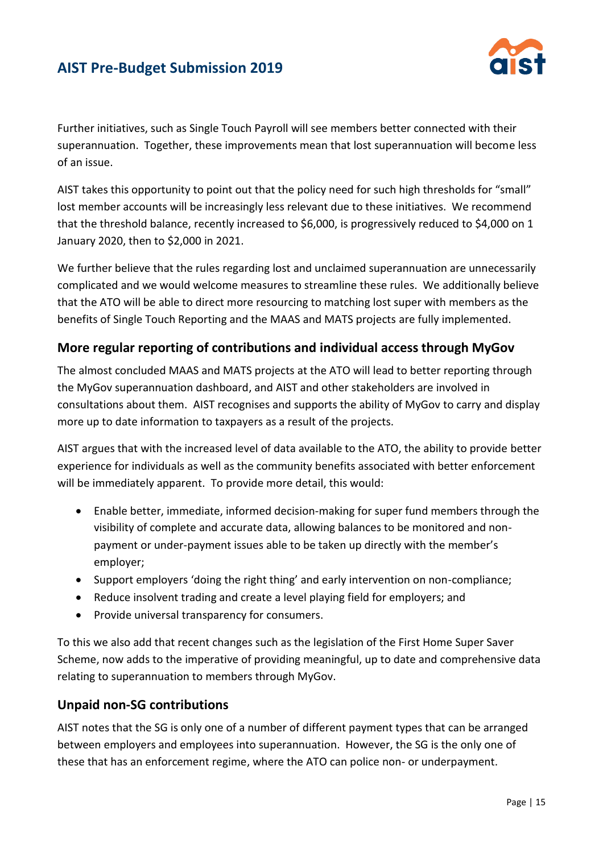

Further initiatives, such as Single Touch Payroll will see members better connected with their superannuation. Together, these improvements mean that lost superannuation will become less of an issue.

AIST takes this opportunity to point out that the policy need for such high thresholds for "small" lost member accounts will be increasingly less relevant due to these initiatives. We recommend that the threshold balance, recently increased to \$6,000, is progressively reduced to \$4,000 on 1 January 2020, then to \$2,000 in 2021.

We further believe that the rules regarding lost and unclaimed superannuation are unnecessarily complicated and we would welcome measures to streamline these rules. We additionally believe that the ATO will be able to direct more resourcing to matching lost super with members as the benefits of Single Touch Reporting and the MAAS and MATS projects are fully implemented.

#### **More regular reporting of contributions and individual access through MyGov**

The almost concluded MAAS and MATS projects at the ATO will lead to better reporting through the MyGov superannuation dashboard, and AIST and other stakeholders are involved in consultations about them. AIST recognises and supports the ability of MyGov to carry and display more up to date information to taxpayers as a result of the projects.

AIST argues that with the increased level of data available to the ATO, the ability to provide better experience for individuals as well as the community benefits associated with better enforcement will be immediately apparent. To provide more detail, this would:

- Enable better, immediate, informed decision-making for super fund members through the visibility of complete and accurate data, allowing balances to be monitored and nonpayment or under-payment issues able to be taken up directly with the member's employer;
- Support employers 'doing the right thing' and early intervention on non-compliance;
- Reduce insolvent trading and create a level playing field for employers; and
- Provide universal transparency for consumers.

To this we also add that recent changes such as the legislation of the First Home Super Saver Scheme, now adds to the imperative of providing meaningful, up to date and comprehensive data relating to superannuation to members through MyGov.

#### **Unpaid non-SG contributions**

AIST notes that the SG is only one of a number of different payment types that can be arranged between employers and employees into superannuation. However, the SG is the only one of these that has an enforcement regime, where the ATO can police non- or underpayment.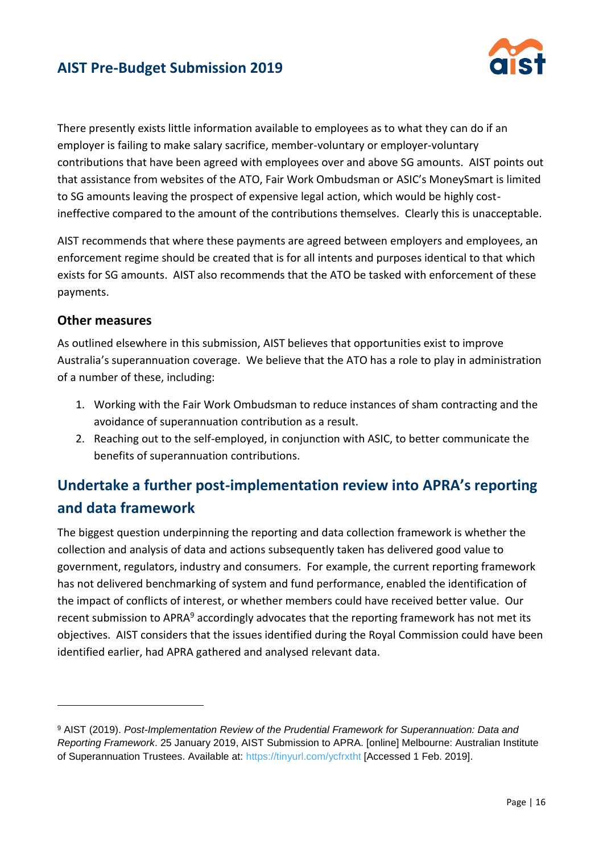

There presently exists little information available to employees as to what they can do if an employer is failing to make salary sacrifice, member-voluntary or employer-voluntary contributions that have been agreed with employees over and above SG amounts. AIST points out that assistance from websites of the ATO, Fair Work Ombudsman or ASIC's MoneySmart is limited to SG amounts leaving the prospect of expensive legal action, which would be highly costineffective compared to the amount of the contributions themselves. Clearly this is unacceptable.

AIST recommends that where these payments are agreed between employers and employees, an enforcement regime should be created that is for all intents and purposes identical to that which exists for SG amounts. AIST also recommends that the ATO be tasked with enforcement of these payments.

#### **Other measures**

 $\overline{a}$ 

As outlined elsewhere in this submission, AIST believes that opportunities exist to improve Australia's superannuation coverage. We believe that the ATO has a role to play in administration of a number of these, including:

- 1. Working with the Fair Work Ombudsman to reduce instances of sham contracting and the avoidance of superannuation contribution as a result.
- 2. Reaching out to the self-employed, in conjunction with ASIC, to better communicate the benefits of superannuation contributions.

## **Undertake a further post-implementation review into APRA's reporting and data framework**

The biggest question underpinning the reporting and data collection framework is whether the collection and analysis of data and actions subsequently taken has delivered good value to government, regulators, industry and consumers. For example, the current reporting framework has not delivered benchmarking of system and fund performance, enabled the identification of the impact of conflicts of interest, or whether members could have received better value. Our recent submission to APRA<sup>9</sup> accordingly advocates that the reporting framework has not met its objectives. AIST considers that the issues identified during the Royal Commission could have been identified earlier, had APRA gathered and analysed relevant data.

<sup>9</sup> AIST (2019). *Post-Implementation Review of the Prudential Framework for Superannuation: Data and Reporting Framework*. 25 January 2019, AIST Submission to APRA. [online] Melbourne: Australian Institute of Superannuation Trustees. Available at:<https://tinyurl.com/ycfrxtht> [Accessed 1 Feb. 2019].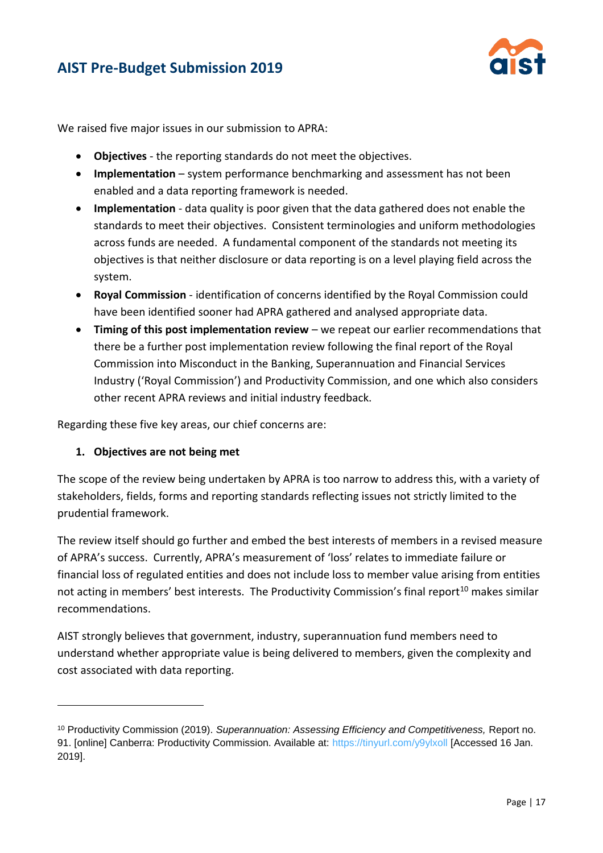

We raised five major issues in our submission to APRA:

- **Objectives** the reporting standards do not meet the objectives.
- **Implementation** system performance benchmarking and assessment has not been enabled and a data reporting framework is needed.
- **Implementation** data quality is poor given that the data gathered does not enable the standards to meet their objectives. Consistent terminologies and uniform methodologies across funds are needed. A fundamental component of the standards not meeting its objectives is that neither disclosure or data reporting is on a level playing field across the system.
- **Royal Commission** identification of concerns identified by the Royal Commission could have been identified sooner had APRA gathered and analysed appropriate data.
- **Timing of this post implementation review** we repeat our earlier recommendations that there be a further post implementation review following the final report of the Royal Commission into Misconduct in the Banking, Superannuation and Financial Services Industry ('Royal Commission') and Productivity Commission, and one which also considers other recent APRA reviews and initial industry feedback.

Regarding these five key areas, our chief concerns are:

#### **1. Objectives are not being met**

 $\overline{a}$ 

The scope of the review being undertaken by APRA is too narrow to address this, with a variety of stakeholders, fields, forms and reporting standards reflecting issues not strictly limited to the prudential framework.

The review itself should go further and embed the best interests of members in a revised measure of APRA's success. Currently, APRA's measurement of 'loss' relates to immediate failure or financial loss of regulated entities and does not include loss to member value arising from entities not acting in members' best interests. The Productivity Commission's final report<sup>10</sup> makes similar recommendations.

AIST strongly believes that government, industry, superannuation fund members need to understand whether appropriate value is being delivered to members, given the complexity and cost associated with data reporting.

<sup>10</sup> Productivity Commission (2019). *Superannuation: Assessing Efficiency and Competitiveness,* Report no. 91. [online] Canberra: Productivity Commission. Available at:<https://tinyurl.com/y9ylxoll> [Accessed 16 Jan. 2019].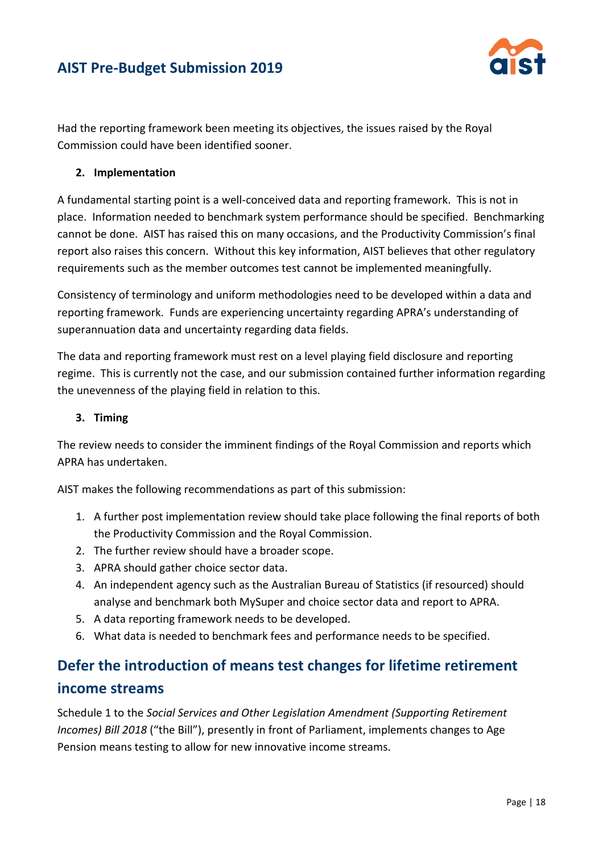

Had the reporting framework been meeting its objectives, the issues raised by the Royal Commission could have been identified sooner.

#### **2. Implementation**

A fundamental starting point is a well-conceived data and reporting framework. This is not in place.Information needed to benchmark system performance should be specified. Benchmarking cannot be done. AIST has raised this on many occasions, and the Productivity Commission's final report also raises this concern. Without this key information, AIST believes that other regulatory requirements such as the member outcomes test cannot be implemented meaningfully.

Consistency of terminology and uniform methodologies need to be developed within a data and reporting framework. Funds are experiencing uncertainty regarding APRA's understanding of superannuation data and uncertainty regarding data fields.

The data and reporting framework must rest on a level playing field disclosure and reporting regime. This is currently not the case, and our submission contained further information regarding the unevenness of the playing field in relation to this.

#### **3. Timing**

The review needs to consider the imminent findings of the Royal Commission and reports which APRA has undertaken.

AIST makes the following recommendations as part of this submission:

- 1. A further post implementation review should take place following the final reports of both the Productivity Commission and the Royal Commission.
- 2. The further review should have a broader scope.
- 3. APRA should gather choice sector data.
- 4. An independent agency such as the Australian Bureau of Statistics (if resourced) should analyse and benchmark both MySuper and choice sector data and report to APRA.
- 5. A data reporting framework needs to be developed.
- 6. What data is needed to benchmark fees and performance needs to be specified.

## **Defer the introduction of means test changes for lifetime retirement income streams**

Schedule 1 to the *Social Services and Other Legislation Amendment (Supporting Retirement Incomes) Bill 2018* ("the Bill"), presently in front of Parliament, implements changes to Age Pension means testing to allow for new innovative income streams.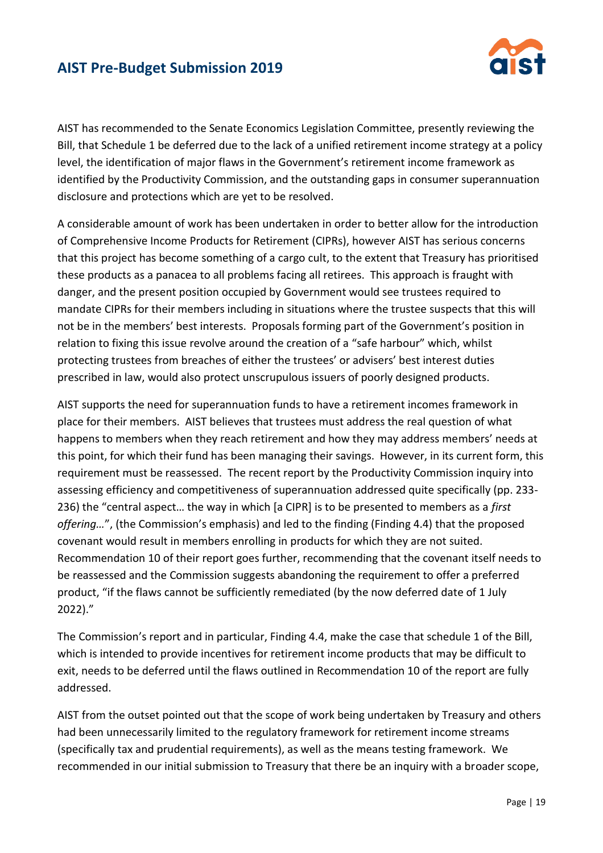

AIST has recommended to the Senate Economics Legislation Committee, presently reviewing the Bill, that Schedule 1 be deferred due to the lack of a unified retirement income strategy at a policy level, the identification of major flaws in the Government's retirement income framework as identified by the Productivity Commission, and the outstanding gaps in consumer superannuation disclosure and protections which are yet to be resolved.

A considerable amount of work has been undertaken in order to better allow for the introduction of Comprehensive Income Products for Retirement (CIPRs), however AIST has serious concerns that this project has become something of a cargo cult, to the extent that Treasury has prioritised these products as a panacea to all problems facing all retirees. This approach is fraught with danger, and the present position occupied by Government would see trustees required to mandate CIPRs for their members including in situations where the trustee suspects that this will not be in the members' best interests. Proposals forming part of the Government's position in relation to fixing this issue revolve around the creation of a "safe harbour" which, whilst protecting trustees from breaches of either the trustees' or advisers' best interest duties prescribed in law, would also protect unscrupulous issuers of poorly designed products.

AIST supports the need for superannuation funds to have a retirement incomes framework in place for their members. AIST believes that trustees must address the real question of what happens to members when they reach retirement and how they may address members' needs at this point, for which their fund has been managing their savings. However, in its current form, this requirement must be reassessed. The recent report by the Productivity Commission inquiry into assessing efficiency and competitiveness of superannuation addressed quite specifically (pp. 233- 236) the "central aspect… the way in which [a CIPR] is to be presented to members as a *first offering…*", (the Commission's emphasis) and led to the finding (Finding 4.4) that the proposed covenant would result in members enrolling in products for which they are not suited. Recommendation 10 of their report goes further, recommending that the covenant itself needs to be reassessed and the Commission suggests abandoning the requirement to offer a preferred product, "if the flaws cannot be sufficiently remediated (by the now deferred date of 1 July 2022)."

The Commission's report and in particular, Finding 4.4, make the case that schedule 1 of the Bill, which is intended to provide incentives for retirement income products that may be difficult to exit, needs to be deferred until the flaws outlined in Recommendation 10 of the report are fully addressed.

AIST from the outset pointed out that the scope of work being undertaken by Treasury and others had been unnecessarily limited to the regulatory framework for retirement income streams (specifically tax and prudential requirements), as well as the means testing framework. We recommended in our initial submission to Treasury that there be an inquiry with a broader scope,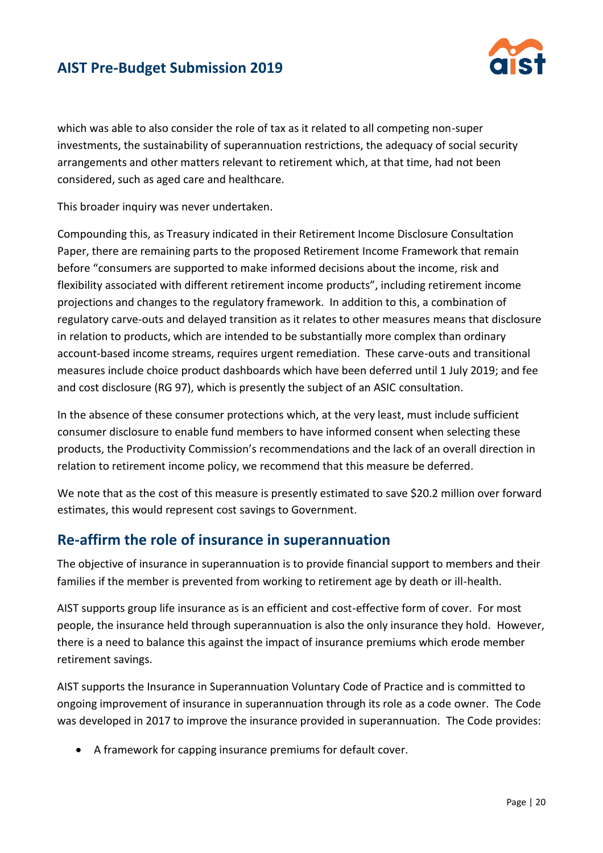

which was able to also consider the role of tax as it related to all competing non-super investments, the sustainability of superannuation restrictions, the adequacy of social security arrangements and other matters relevant to retirement which, at that time, had not been considered, such as aged care and healthcare.

This broader inquiry was never undertaken.

Compounding this, as Treasury indicated in their Retirement Income Disclosure Consultation Paper, there are remaining parts to the proposed Retirement Income Framework that remain before "consumers are supported to make informed decisions about the income, risk and flexibility associated with different retirement income products", including retirement income projections and changes to the regulatory framework. In addition to this, a combination of regulatory carve-outs and delayed transition as it relates to other measures means that disclosure in relation to products, which are intended to be substantially more complex than ordinary account-based income streams, requires urgent remediation. These carve-outs and transitional measures include choice product dashboards which have been deferred until 1 July 2019; and fee and cost disclosure (RG 97), which is presently the subject of an ASIC consultation.

In the absence of these consumer protections which, at the very least, must include sufficient consumer disclosure to enable fund members to have informed consent when selecting these products, the Productivity Commission's recommendations and the lack of an overall direction in relation to retirement income policy, we recommend that this measure be deferred.

We note that as the cost of this measure is presently estimated to save \$20.2 million over forward estimates, this would represent cost savings to Government.

#### **Re-affirm the role of insurance in superannuation**

The objective of insurance in superannuation is to provide financial support to members and their families if the member is prevented from working to retirement age by death or ill-health.

AIST supports group life insurance as is an efficient and cost-effective form of cover. For most people, the insurance held through superannuation is also the only insurance they hold. However, there is a need to balance this against the impact of insurance premiums which erode member retirement savings.

AIST supports the Insurance in Superannuation Voluntary Code of Practice and is committed to ongoing improvement of insurance in superannuation through its role as a code owner. The Code was developed in 2017 to improve the insurance provided in superannuation. The Code provides:

• A framework for capping insurance premiums for default cover.